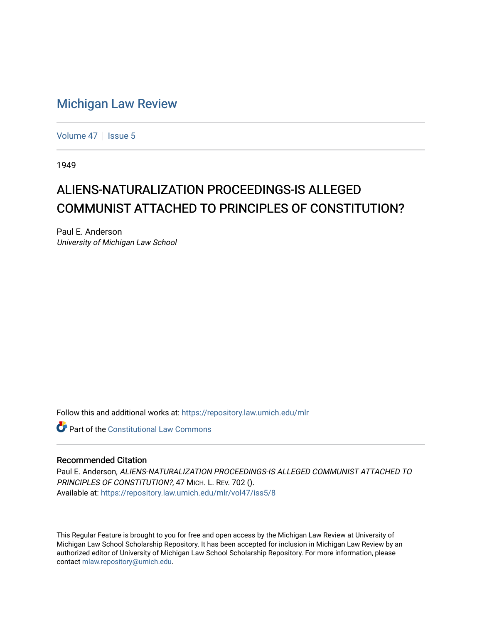## [Michigan Law Review](https://repository.law.umich.edu/mlr)

[Volume 47](https://repository.law.umich.edu/mlr/vol47) | [Issue 5](https://repository.law.umich.edu/mlr/vol47/iss5)

1949

## ALIENS-NATURALIZATION PROCEEDINGS-IS ALLEGED COMMUNIST ATTACHED TO PRINCIPLES OF CONSTITUTION?

Paul E. Anderson University of Michigan Law School

Follow this and additional works at: [https://repository.law.umich.edu/mlr](https://repository.law.umich.edu/mlr?utm_source=repository.law.umich.edu%2Fmlr%2Fvol47%2Fiss5%2F8&utm_medium=PDF&utm_campaign=PDFCoverPages) 

**C** Part of the Constitutional Law Commons

## Recommended Citation

Paul E. Anderson, ALIENS-NATURALIZATION PROCEEDINGS-IS ALLEGED COMMUNIST ATTACHED TO PRINCIPLES OF CONSTITUTION?, 47 MICH. L. REV. 702 (). Available at: [https://repository.law.umich.edu/mlr/vol47/iss5/8](https://repository.law.umich.edu/mlr/vol47/iss5/8?utm_source=repository.law.umich.edu%2Fmlr%2Fvol47%2Fiss5%2F8&utm_medium=PDF&utm_campaign=PDFCoverPages)

This Regular Feature is brought to you for free and open access by the Michigan Law Review at University of Michigan Law School Scholarship Repository. It has been accepted for inclusion in Michigan Law Review by an authorized editor of University of Michigan Law School Scholarship Repository. For more information, please contact [mlaw.repository@umich.edu](mailto:mlaw.repository@umich.edu).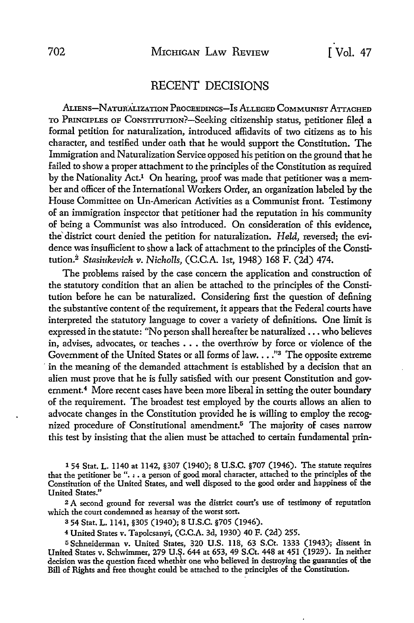## RECENT DECISIONS

ALIENS-NATURALIZATION PROCEEDINGS-IS ALLEGED COMMUNIST ATTACHED TO PRINCIPLES OF CONSTITUTION?-Seeking citizenship status, petitioner filed a formal petition for naturalization, introduced affidavits of two citizens as to his character, and testified under oath that he would support the Constitution. The Immigration and Naturalization Service opposed his petition on the ground that he failed to show a proper attachment to the principles of the Constitution as required by the Nationality Act.<sup>1</sup> On hearing, proof was made that petitioner was a member and officer of the International Workers Order, an organization labeled by the House Committee on Un-American Activities as a Communist front. Testimony of an immigration inspector that petitioner had the reputation in his community of being a Communist was also introduced. On consideration of this evidence, the' district court denied the petition for naturalization. *Held,* reversed; the evidence was insufficient to show a lack of attachment to the principles of the Constitution. 2 *Stasiukevich v. Nicholls,* (C.C.A. 1st, 1948) 168 F. (2d) 474.

The problems raised by the case concern the application and construction of the statutory condition that an alien be attached to the principles of the Constitution before he can be naturalized. Considering first the question of defining the substantive content of the requirement, it appears that the Federal courts have interpreted the statutory language to cover a variety of definitions. One limit is expressed in the statute: "No person shall hereafter be naturalized  $\ldots$  who believes in, advises, advocates, or teaches  $\dots$  the overthrow by force or violence of the Government of the United States or all forms of law.  $\ldots$ <sup>3</sup> The opposite extreme in the meaning of the demanded attachment is established by a decision that an alien must prove that he is fully satisfied with our present Constitution and government.<sup>4</sup> More recent cases have been more liberal in setting the outer boundary of the requirement. The broadest test employed by the courts allows an alien to advocate changes in the Constitution provided he is willing to employ the recognized procedure of Constitutional amendment.5 The majority of cases narrow this test by insisting that the alien must be attached to certain fundamental prin-

l 54 Stat. L. 1140 at 1142, §307 (1940); 8 U.S.C. §707 (1946). The statute requires that the petitioner be". , . a person of good moral character, attached to the principles of the Constitution of the United States, and well disposed to the good order and happiness of the United States."

2 A second ground for reversal was the district court's use of testimony of reputation which the court condemned as hearsay of the worst sort.

<sup>3</sup>54 Stat. L. 1141, §305 (1940); 8 U.S.C. §705 (1946).

<sup>4</sup>United States v. Tapolcsanyi, (C.C.A. 3d, 1930) 40 F. (2d) 255.

<sup>5</sup>Schneiderman v. United States, 320 U.S. 118, 63 S.Ct. 1333 (1943); dissent in United States v. Schwimmer, 279 U.S. 644 at 653, 49 S.Ct. 448 at 451 (1929). In neither decision was the question faced whether one who believed in destroying the guaranties of the Bill of Rights and free thought could be attached to the principles of the Constitution.